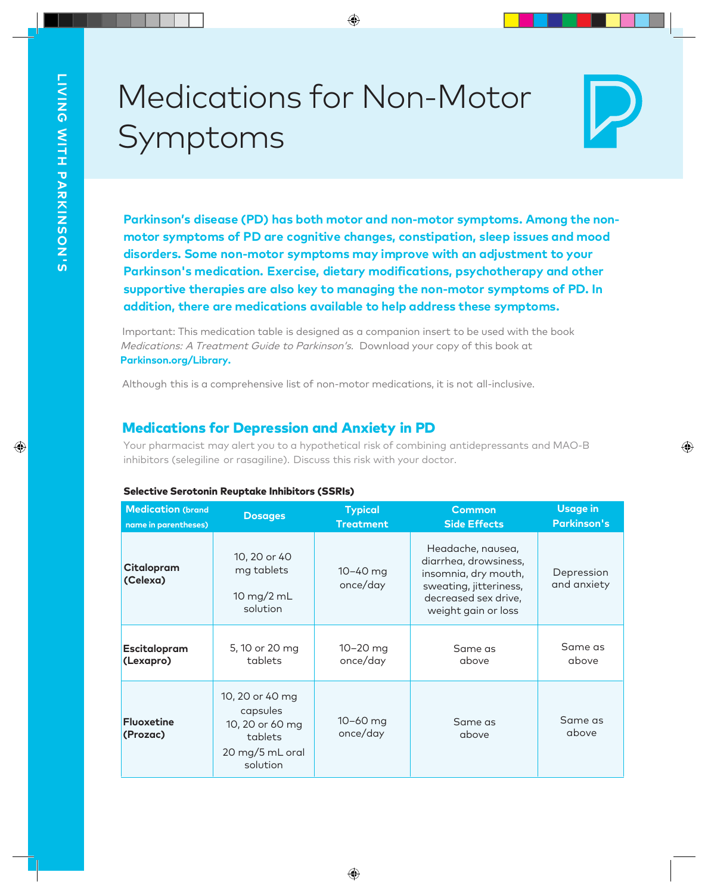# Medications for Non-Motor Symptoms



**Parkinson's disease (PD) has both motor and non-motor symptoms. Among the non** motor symptoms of PD are cognitive changes, constipation, sleep issues and mood<br>disorders. Some non-motor symptoms may improve with an adjustment to your<br>Parkinson's medication. Exercise, dietary modifications, psychothera

Important: This medication table is designed as <sup>a</sup> companion insert to be used with the book Medications: A Treatment Guide to Parkinson's. Download your copy of this book at **Parkinson.org/Library.**

Although this is a comprehensive list of non-motor medications, it is not all-inclusive.

# Medications for Depression and Anxiety in PD

Your pharmacist may alert you to a hypothetical risk of combining antidepressants and MAO-B inhibitors (selegiline or rasagiline). Discuss this risk with your doctor.

|  | Selective Serotonin Reuptake Inhibitors (SSRIs) |  |  |  |
|--|-------------------------------------------------|--|--|--|
|--|-------------------------------------------------|--|--|--|

| <b>Medication (brand</b>      | <b>Dosages</b>                                                                           | <b>Typical</b>       | <b>Common</b>                                                                                                                               | <b>Usage in</b>           |
|-------------------------------|------------------------------------------------------------------------------------------|----------------------|---------------------------------------------------------------------------------------------------------------------------------------------|---------------------------|
| name in parentheses)          |                                                                                          | <b>Treatment</b>     | <b>Side Effects</b>                                                                                                                         | <b>Parkinson's</b>        |
| Citalopram<br>(Celexa)        | 10, 20 or 40<br>mg tablets<br>10 mg/2 mL<br>solution                                     | 10-40 mg<br>once/day | Headache, nausea,<br>diarrhea, drowsiness,<br>insomnia, dry mouth,<br>sweating, jitteriness,<br>decreased sex drive,<br>weight gain or loss | Depression<br>and anxiety |
| Escitalopram                  | 5, 10 or 20 mg                                                                           | $10 - 20$ mg         | Same as                                                                                                                                     | Same as                   |
| (Lexapro)                     | tablets                                                                                  | once/day             | above                                                                                                                                       | above                     |
| <b>Fluoxetine</b><br>(Prozac) | 10, 20 or 40 mg<br>capsules<br>10, 20 or 60 mg<br>tablets<br>20 mg/5 mL oral<br>solution | 10-60 mg<br>once/day | Same as<br>above                                                                                                                            | Same as<br>above          |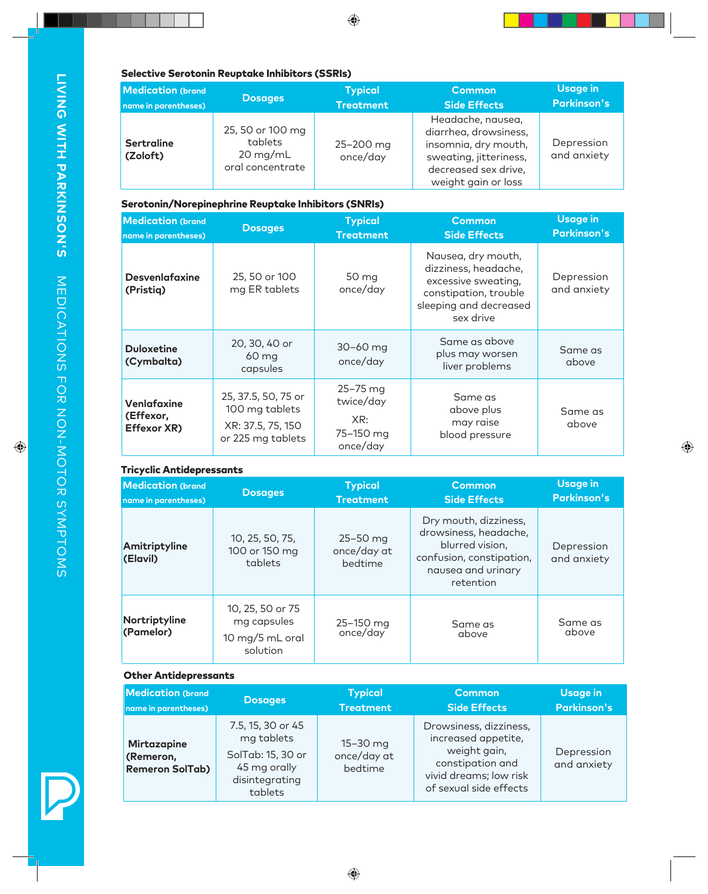## Selective Serotonin Reuptake Inhibitors (SSRIs)

| <b>Medication (brand</b><br>name in parentheses) | <b>Dosages</b>                                                        | <b>Typical</b><br><b>Treatment</b> | <b>Common</b><br><b>Side Effects</b>                                                                                                        | <b>Usage in</b><br><b>Parkinson's</b> |
|--------------------------------------------------|-----------------------------------------------------------------------|------------------------------------|---------------------------------------------------------------------------------------------------------------------------------------------|---------------------------------------|
| <b>Sertraline</b><br>(Zoloft)                    | 25, 50 or 100 mg<br>tablets<br>$20 \text{ mg/mL}$<br>oral concentrate | 25-200 mg<br>once/day              | Headache, nausea,<br>diarrhea, drowsiness,<br>insomnia, dry mouth,<br>sweating, jitteriness,<br>decreased sex drive,<br>weight gain or loss | Depression<br>and anxiety             |

#### Serotonin/Norepinephrine Reuptake Inhibitors (SNRIs)

| <b>Medication (brand</b>                |                                                                                 | <b>Typical</b>                                        | <b>Common</b>                                                                                                                     | <b>Usage in</b>           |
|-----------------------------------------|---------------------------------------------------------------------------------|-------------------------------------------------------|-----------------------------------------------------------------------------------------------------------------------------------|---------------------------|
| name in parentheses)                    | <b>Dosages</b>                                                                  | <b>Treatment</b>                                      | <b>Side Effects</b>                                                                                                               | <b>Parkinson's</b>        |
| <b>Desvenlafaxine</b><br>(Pristiq)      | 25, 50 or 100<br>mg ER tablets                                                  | 50 mg<br>once/day                                     | Nausea, dry mouth,<br>dizziness, headache,<br>excessive sweating,<br>constipation, trouble<br>sleeping and decreased<br>sex drive | Depression<br>and anxiety |
| <b>Duloxetine</b><br>(Cymbalta)         | 20, 30, 40 or<br>60 mg<br>capsules                                              | $30 - 60$ mg<br>once/day                              | Same as above<br>plus may worsen<br>liver problems                                                                                | Same as<br>above          |
| Venlafaxine<br>(Effexor,<br>Effexor XR) | 25, 37.5, 50, 75 or<br>100 mg tablets<br>XR: 37.5, 75, 150<br>or 225 mg tablets | 25-75 mg<br>twice/day<br>XR:<br>75-150 mg<br>once/day | Same as<br>above plus<br>may raise<br>blood pressure                                                                              | Same as<br>above          |

## Tricyclic Antidepressants

| <u>THEY CITE MITCHES PLESSON ITES</u>             |                                                                |                                    |                                                                                                                                  |                                       |
|---------------------------------------------------|----------------------------------------------------------------|------------------------------------|----------------------------------------------------------------------------------------------------------------------------------|---------------------------------------|
| <b>Medication (brand)</b><br>name in parentheses) | <b>Dosages</b>                                                 | <b>Typical</b><br><b>Treatment</b> | <b>Common</b><br><b>Side Effects</b>                                                                                             | <b>Usage in</b><br><b>Parkinson's</b> |
| Amitriptyline<br>(Elavil)                         | 10, 25, 50, 75,<br>100 or 150 mg<br>tablets                    | 25-50 mg<br>once/day at<br>bedtime | Dry mouth, dizziness,<br>drowsiness, headache,<br>blurred vision,<br>confusion, constipation,<br>nausea and urinary<br>retention | Depression<br>and anxiety             |
| Nortriptyline<br>(Pamelor)                        | 10, 25, 50 or 75<br>mg capsules<br>10 mg/5 mL oral<br>solution | 25-150 mg<br>once/day              | Same as<br>above                                                                                                                 | Same as<br>above                      |

# Other Antidepressants

| <b>Medication (brand)</b>                                 | <b>Dosages</b>                                                                                    | <b>Typical</b>                         | <b>Common</b>                                                                                                                         | <b>Usage in</b>           |
|-----------------------------------------------------------|---------------------------------------------------------------------------------------------------|----------------------------------------|---------------------------------------------------------------------------------------------------------------------------------------|---------------------------|
| name in parentheses)                                      |                                                                                                   | <b>Treatment</b>                       | <b>Side Effects</b>                                                                                                                   | <b>Parkinson's</b>        |
| <b>Mirtazapine</b><br>(Remeron,<br><b>Remeron SolTab)</b> | 7.5, 15, 30 or 45<br>mg tablets<br>SolTab: 15, 30 or<br>45 mg orally<br>disintegrating<br>tablets | $15 - 30$ mg<br>once/day at<br>bedtime | Drowsiness, dizziness,<br>increased appetite,<br>weight gain,<br>constipation and<br>vivid dreams; low risk<br>of sexual side effects | Depression<br>and anxiety |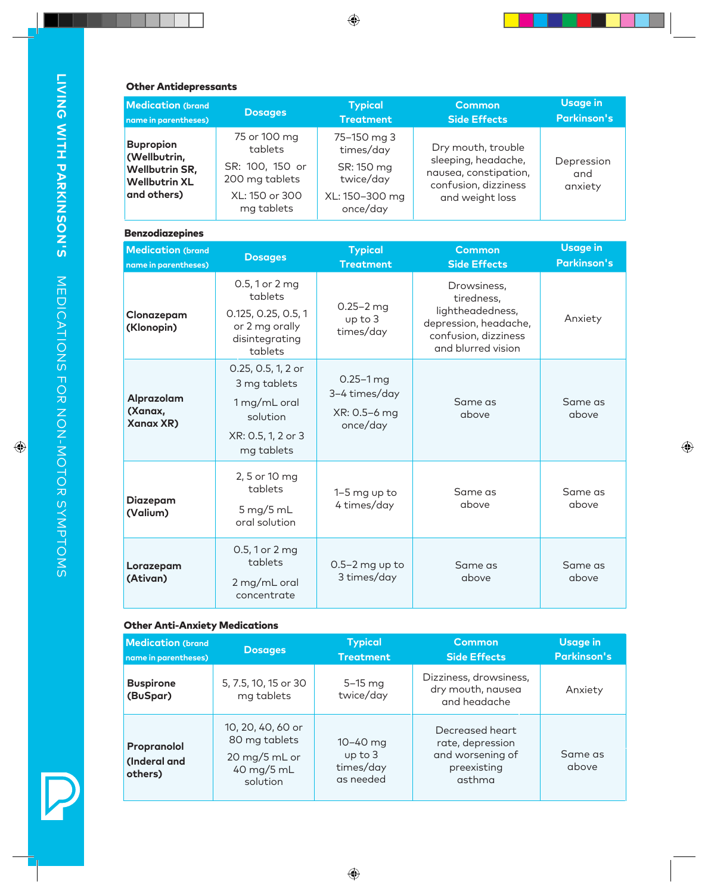# Other Antidepressants

| <b>Medication (brand</b>                                                                         | <b>Dosages</b>                                                                               | <b>Typical</b>                                                                    | <b>Common</b>                                                                                                 | <b>Usage in</b>              |
|--------------------------------------------------------------------------------------------------|----------------------------------------------------------------------------------------------|-----------------------------------------------------------------------------------|---------------------------------------------------------------------------------------------------------------|------------------------------|
| name in parentheses)                                                                             |                                                                                              | <b>Treatment</b>                                                                  | <b>Side Effects</b>                                                                                           | <b>Parkinson's</b>           |
| <b>Bupropion</b><br>(Wellbutrin,<br><b>Wellbutrin SR,</b><br><b>Wellbutrin XL</b><br>and others) | 75 or 100 mg<br>tablets<br>SR: 100, 150 or<br>200 mg tablets<br>XL: 150 or 300<br>mg tablets | 75-150 mg 3<br>times/day<br>SR: 150 mg<br>twice/day<br>XL: 150-300 mg<br>once/day | Dry mouth, trouble<br>sleeping, headache,<br>nausea, constipation,<br>confusion, dizziness<br>and weight loss | Depression<br>and<br>anxiety |

#### Benzodiazepines

| <b>Medication (brand</b><br>name in parentheses) | <b>Dosages</b>                                                                                     | <b>Typical</b><br><b>Treatment</b>                         | <b>Common</b><br>Side Effects                                                                                        | <b>Usage in</b><br><b>Parkinson's</b> |
|--------------------------------------------------|----------------------------------------------------------------------------------------------------|------------------------------------------------------------|----------------------------------------------------------------------------------------------------------------------|---------------------------------------|
| Clonazepam<br>(Klonopin)                         | 0.5, 1 or 2 mg<br>tablets<br>0.125, 0.25, 0.5, 1<br>or 2 mg orally<br>disintegrating<br>tablets    | $0.25 - 2$ mg<br>up to 3<br>times/day                      | Drowsiness,<br>tiredness,<br>lightheadedness,<br>depression, headache,<br>confusion, dizziness<br>and blurred vision | Anxiety                               |
| Alprazolam<br>(Xanax,<br><b>Xanax XR)</b>        | 0.25, 0.5, 1, 2 or<br>3 mg tablets<br>1 mg/mL oral<br>solution<br>XR: 0.5, 1, 2 or 3<br>mg tablets | $0.25 - 1$ mg<br>3-4 times/day<br>XR: 0.5-6 mg<br>once/day | Same as<br>above                                                                                                     | Same as<br>above                      |
| <b>Diazepam</b><br>(Valium)                      | 2, 5 or 10 mg<br>tablets<br>$5 \,\mathrm{mg}/5 \,\mathrm{m}$ L<br>oral solution                    | 1-5 mg up to<br>4 times/day                                | Same as<br>above                                                                                                     | Same as<br>above                      |
| Lorazepam<br>(Ativan)                            | 0.5, 1 or 2 mg<br>tablets<br>2 mg/mL oral<br>concentrate                                           | $0.5-2$ mg up to<br>3 times/day                            | Same as<br>above                                                                                                     | Same as<br>above                      |

# Other Anti-Anxiety Medications

| <b>Medication (brand</b><br>name in parentheses) | <b>Dosages</b>                                                                | <b>Typical</b><br><b>Treatment</b>                | <b>Common</b><br><b>Side Effects</b>                                             | <b>Usage in</b><br><b>Parkinson's</b> |
|--------------------------------------------------|-------------------------------------------------------------------------------|---------------------------------------------------|----------------------------------------------------------------------------------|---------------------------------------|
| <b>Buspirone</b><br>(BuSpar)                     | 5, 7.5, 10, 15 or 30<br>mg tablets                                            | $5-15$ mg<br>twice/day                            | Dizziness, drowsiness,<br>dry mouth, nausea<br>and headache                      | Anxiety                               |
| Propranolol<br>(Inderal and<br>others)           | 10, 20, 40, 60 or<br>80 mg tablets<br>20 mg/5 mL or<br>40 mg/5 mL<br>solution | $10 - 40$ mg<br>up to 3<br>times/day<br>as needed | Decreased heart<br>rate, depression<br>and worsening of<br>preexisting<br>asthma | Same as<br>above                      |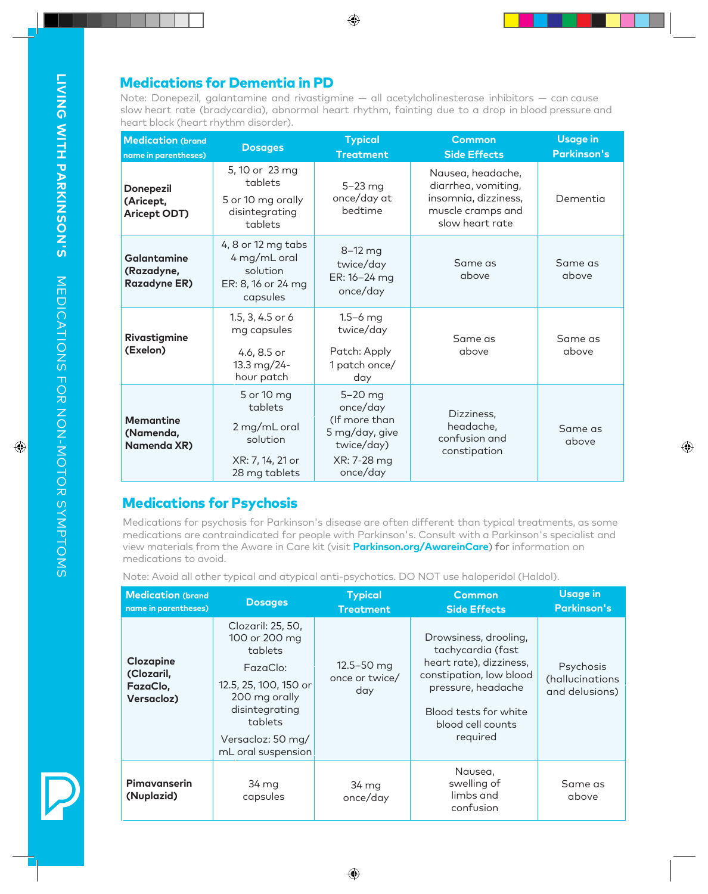**Medications for Dementia in PD**<br>Note: Donepezil, galantamine and rivastigmine — all acetylcholinesterase inhibitors — can cause slow heart rate (bradycardia), abnormal heart rhythm, fainting due to a drop in blood pressure and<br>heart block (heart rhythm disorder).

| <b>Medication (brand</b><br>name in parentheses) | <b>Dosages</b>                                                                         | <b>Typical</b><br><b>Treatment</b>                                                              | <b>Common</b><br><b>Side Effects</b>                                                                     | <b>Usage in</b><br><b>Parkinson's</b> |
|--------------------------------------------------|----------------------------------------------------------------------------------------|-------------------------------------------------------------------------------------------------|----------------------------------------------------------------------------------------------------------|---------------------------------------|
| <b>Donepezil</b><br>(Aricept,<br>Aricept ODT)    | 5, 10 or 23 mg<br>tablets<br>5 or 10 mg orally<br>disintegrating<br>tablets            | $5-23$ mg<br>once/day at<br>bedtime                                                             | Nausea, headache,<br>diarrhea, vomiting,<br>insomnia, dizziness,<br>muscle cramps and<br>slow heart rate | Dementia                              |
| Galantamine<br>(Razadyne,<br><b>Razadyne ER)</b> | 4, 8 or 12 mg tabs<br>4 mg/mL oral<br>solution<br>ER: 8, 16 or 24 mg<br>capsules       | $8-12$ mg<br>twice/day<br>ER: 16-24 mg<br>once/day                                              | Same as<br>above                                                                                         | Same as<br>above                      |
| Rivastigmine<br>(Exelon)                         | 1.5, 3, 4.5 or 6<br>mg capsules<br>4.6, 8.5 or<br>13.3 mg/24-<br>hour patch            | $1.5 - 6$ mg<br>twice/day<br>Patch: Apply<br>1 patch once/<br>day                               | Same as<br>above                                                                                         | Same as<br>above                      |
| <b>Memantine</b><br>(Namenda,<br>Namenda XR)     | 5 or 10 mg<br>tablets<br>2 mg/mL oral<br>solution<br>XR: 7, 14, 21 or<br>28 mg tablets | 5-20 mg<br>once/day<br>(If more than<br>5 mg/day, give<br>twice/day)<br>XR: 7-28 mg<br>once/day | Dizziness,<br>headache,<br>confusion and<br>constipation                                                 | Same as<br>above                      |

# Medications for Psychosis

Medications for psychosis for Parkinson's disease are often different than typical treatments, as some medications are contraindicated for people with Parkinson's. Consult with a Parkinson's specialist and view materials from the Aware in Care kit (visit **Parkinson.org/AwareinCare**) for information on medications to avoid.

Note: Avoid all other typical and atypical anti-psychotics. DO NOT use haloperidol (Haldol).

| <b>Medication (brand</b><br>name in parentheses)  | <b>Dosages</b>                                                                                                                                                              | <b>Typical</b><br><b>Treatment</b>      | <b>Common</b><br><b>Side Effects</b>                                                                                                                                             | <b>Usage in</b><br><b>Parkinson's</b>          |
|---------------------------------------------------|-----------------------------------------------------------------------------------------------------------------------------------------------------------------------------|-----------------------------------------|----------------------------------------------------------------------------------------------------------------------------------------------------------------------------------|------------------------------------------------|
| Clozapine<br>(Clozaril,<br>FazaClo,<br>Versacloz) | Clozaril: 25, 50,<br>100 or 200 mg<br>tablets<br>FazaClo:<br>12.5, 25, 100, 150 or<br>200 mg orally<br>disintegrating<br>tablets<br>Versacloz: 50 mg/<br>mL oral suspension | $12.5 - 50$ mg<br>once or twice/<br>day | Drowsiness, drooling,<br>tachycardia (fast<br>heart rate), dizziness,<br>constipation, low blood<br>pressure, headache<br>Blood tests for white<br>blood cell counts<br>required | Psychosis<br>(hallucinations<br>and delusions) |
| Pimavanserin<br>(Nuplazid)                        | 34 mg<br>capsules                                                                                                                                                           | 34 mg<br>once/day                       | Nausea,<br>swelling of<br>limbs and<br>confusion                                                                                                                                 | Same as<br>above                               |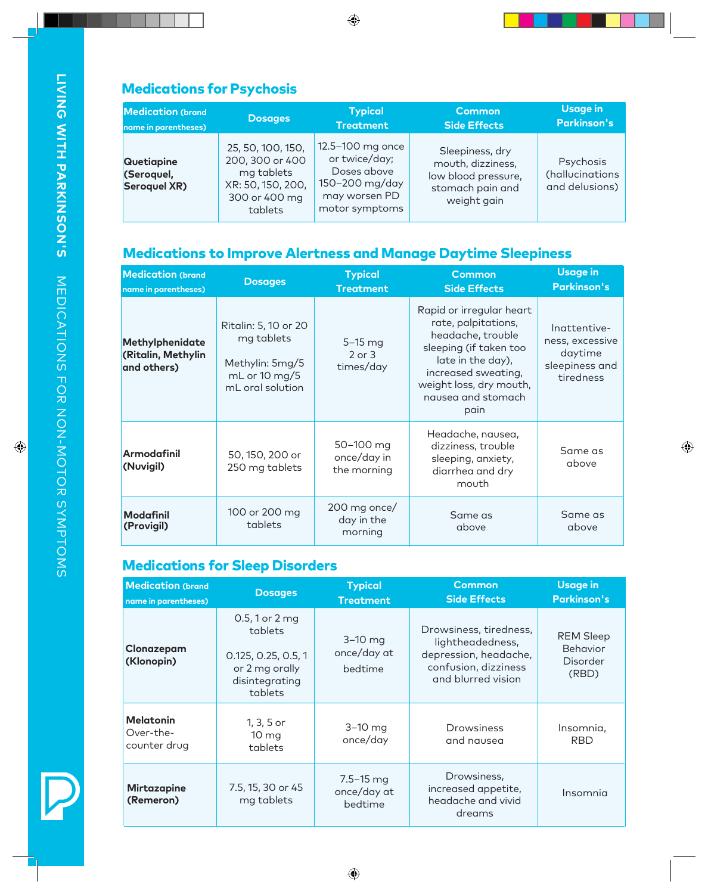| <b>Medication (brand</b>                               | <b>Dosages</b>                                                                                      | <b>Typical</b>                                                                                        | <b>Common</b>                                                                                  | <b>Usage in</b>                                |
|--------------------------------------------------------|-----------------------------------------------------------------------------------------------------|-------------------------------------------------------------------------------------------------------|------------------------------------------------------------------------------------------------|------------------------------------------------|
| name in parentheses)                                   |                                                                                                     | <b>Treatment</b>                                                                                      | <b>Side Effects</b>                                                                            | <b>Parkinson's</b>                             |
| <b>Quetiapine</b><br>(Seroquel,<br><b>Seroquel XR)</b> | 25, 50, 100, 150,<br>200, 300 or 400<br>mg tablets<br>XR: 50, 150, 200,<br>300 or 400 mg<br>tablets | 12.5-100 mg once<br>or twice/day;<br>Doses above<br>150-200 mg/day<br>may worsen PD<br>motor symptoms | Sleepiness, dry<br>mouth, dizziness,<br>low blood pressure,<br>stomach pain and<br>weight gain | Psychosis<br>(hallucinations<br>and delusions) |

# Medications to Improve Alertness and Manage Daytime Sleepiness

| <b>Medication (brand</b><br>name in parentheses)     | <b>Dosages</b>                                                                             | <b>Typical</b><br><b>Treatment</b>      | <b>Common</b><br><b>Side Effects</b>                                                                                                                                                                | <b>Usage in</b><br><b>Parkinson's</b>                                     |
|------------------------------------------------------|--------------------------------------------------------------------------------------------|-----------------------------------------|-----------------------------------------------------------------------------------------------------------------------------------------------------------------------------------------------------|---------------------------------------------------------------------------|
| Methylphenidate<br>(Ritalin, Methylin<br>and others) | Ritalin: 5, 10 or 20<br>mg tablets<br>Methylin: 5mg/5<br>mL or 10 mg/5<br>mL oral solution | $5-15$ mg<br>$2$ or $3$<br>times/day    | Rapid or irregular heart<br>rate, palpitations,<br>headache, trouble<br>sleeping (if taken too<br>late in the day),<br>increased sweating,<br>weight loss, dry mouth,<br>nausea and stomach<br>pain | Ingttentive-<br>ness, excessive<br>daytime<br>sleepiness and<br>tiredness |
| <b>Armodafinil</b><br>(Nuvigil)                      | 50, 150, 200 or<br>250 mg tablets                                                          | 50-100 mg<br>once/day in<br>the morning | Headache, nausea,<br>dizziness, trouble<br>sleeping, anxiety,<br>diarrhea and dry<br>mouth                                                                                                          | Same as<br>above                                                          |
| <b>Modafinil</b><br>(Provigil)                       | 100 or 200 mg<br>tablets                                                                   | 200 mg once/<br>day in the<br>morning   | Same as<br>above                                                                                                                                                                                    | Same as<br>above                                                          |

# Medications for Sleep Disorders

| <b>Medication (brand</b><br>name in parentheses) | <b>Dosages</b>                                                                                         | <b>Typical</b><br><b>Treatment</b>      | <b>Common</b><br><b>Side Effects</b>                                                                              | <b>Usage in</b><br><b>Parkinson's</b>                    |
|--------------------------------------------------|--------------------------------------------------------------------------------------------------------|-----------------------------------------|-------------------------------------------------------------------------------------------------------------------|----------------------------------------------------------|
| Clonazepam<br>(Klonopin)                         | $0.5, 1$ or $2 \, mg$<br>tablets<br>0.125, 0.25, 0.5, 1<br>or 2 mg orally<br>disintegrating<br>tablets | $3-10$ mg<br>once/day at<br>bedtime     | Drowsiness, tiredness,<br>lightheadedness,<br>depression, headache,<br>confusion, dizziness<br>and blurred vision | <b>REM Sleep</b><br><b>Behavior</b><br>Disorder<br>(RBD) |
| <b>Melatonin</b><br>Over-the-<br>counter drug    | 1, 3, 5 or<br>10 <sub>mg</sub><br>tablets                                                              | $3-10$ mg<br>once/day                   | Drowsiness<br>and nausea                                                                                          | Insomnia,<br><b>RBD</b>                                  |
| <b>Mirtazapine</b><br>(Remeron)                  | 7.5, 15, 30 or 45<br>mg tablets                                                                        | $7.5 - 15$ mg<br>once/day at<br>bedtime | Drowsiness,<br>increased appetite,<br>headache and vivid<br>dreams                                                | Insomnia                                                 |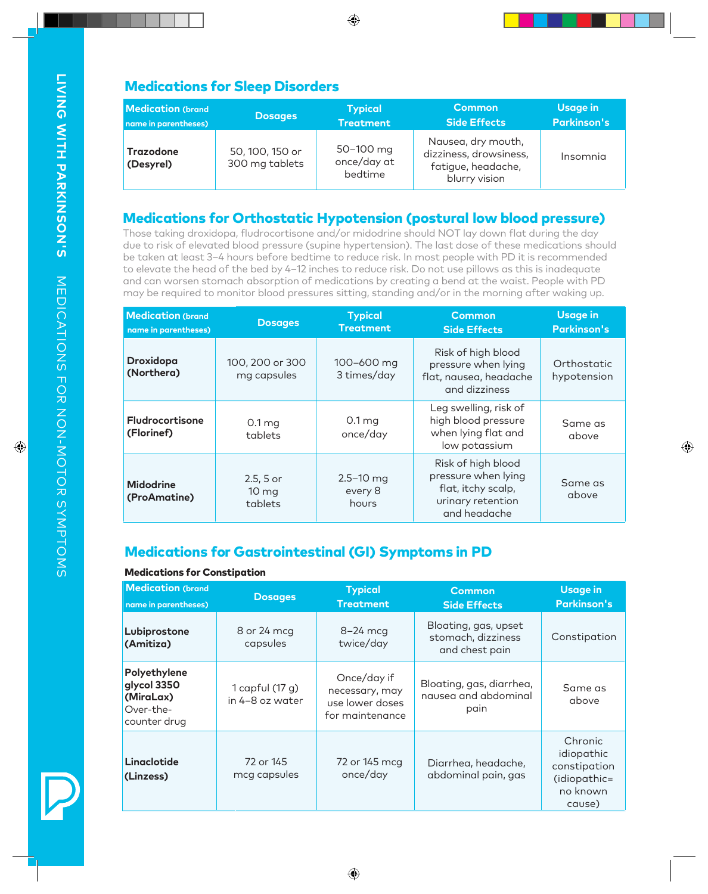# Medications for Sleep Disorders

| <b>Medication</b> (brand      | <b>Dosages</b>                    | <b>Typical</b>                      | <b>Common</b>                                                                       | Usage in           |
|-------------------------------|-----------------------------------|-------------------------------------|-------------------------------------------------------------------------------------|--------------------|
| name in parentheses)          |                                   | <b>Treatment</b>                    | <b>Side Effects</b>                                                                 | <b>Parkinson's</b> |
| <b>Trazodone</b><br>(Desyrel) | 50, 100, 150 or<br>300 mg tablets | 50-100 mg<br>once/day at<br>bedtime | Nausea, dry mouth,<br>dizziness, drowsiness,<br>fatigue, headache,<br>blurry vision | Insomnia           |

# **Medications for Orthostatic Hypotension (postural low blood pressure)**<br>Those taking droxidopa, fludrocortisone and/or midodrine should NOT lay down flat during the day

due to risk of elevated blood pressure (supine hypertension). The last dose of these medications should<br>be taken at least 3–4 hours before bedtime to reduce risk. In most people with PD it is recommended<br>to elevate the hea may be required to monitor blood pressures sitting, standing and/or in the morning after waking up.

| <b>Medication (brand</b><br>name in parentheses) | <b>Dosages</b>                             | <b>Typical</b><br><b>Treatment</b> | <b>Common</b><br><b>Side Effects</b>                                                                 | <b>Usage in</b><br><b>Parkinson's</b> |
|--------------------------------------------------|--------------------------------------------|------------------------------------|------------------------------------------------------------------------------------------------------|---------------------------------------|
| <b>Droxidopa</b><br>(Northera)                   | 100, 200 or 300<br>mg capsules             | 100-600 mg<br>3 times/day          | Risk of high blood<br>pressure when lying<br>flat, nausea, headache<br>and dizziness                 | Orthostatic<br>hypotension            |
| <b>Fludrocortisone</b><br>(Florinef)             | 0.1 <sub>mg</sub><br>tablets               | 0.1 <sub>mg</sub><br>once/day      | Leg swelling, risk of<br>high blood pressure<br>when lying flat and<br>low potassium                 | Same as<br>above                      |
| <b>Midodrine</b><br>(ProAmatine)                 | $2.5, 5$ or<br>10 <sub>mg</sub><br>tablets | $2.5 - 10$ mg<br>every 8<br>hours  | Risk of high blood<br>pressure when lying<br>flat, itchy scalp,<br>urinary retention<br>and headache | Same as<br>above                      |

# Medications for Gastrointestinal (GI) Symptoms in PD

#### Medications for Constipation

| <b>Medication (brand</b><br>name in parentheses)                      | <b>Dosages</b>                     | <b>Typical</b><br><b>Treatment</b>                                  | <b>Common</b><br><b>Side Effects</b>                         | <b>Usage in</b><br><b>Parkinson's</b>                                       |
|-----------------------------------------------------------------------|------------------------------------|---------------------------------------------------------------------|--------------------------------------------------------------|-----------------------------------------------------------------------------|
| Lubiprostone<br>(Amitiza)                                             | 8 or 24 mcg<br>capsules            | $8-24$ mcg<br>twice/day                                             | Bloating, gas, upset<br>stomach, dizziness<br>and chest pain | Constipation                                                                |
| Polyethylene<br>glycol 3350<br>(MiraLax)<br>Over-the-<br>counter drug | 1 capful (17 g)<br>in 4-8 oz water | Once/day if<br>necessary, may<br>use lower doses<br>for maintenance | Bloating, gas, diarrhea,<br>nausea and abdominal<br>pain     | Same as<br>above                                                            |
| Linaclotide<br>(Linzess)                                              | 72 or 145<br>mcg capsules          | 72 or 145 mcg<br>once/day                                           | Diarrhea, headache,<br>abdominal pain, gas                   | Chronic<br>idiopathic<br>constipation<br>(idiopathic=<br>no known<br>cause) |

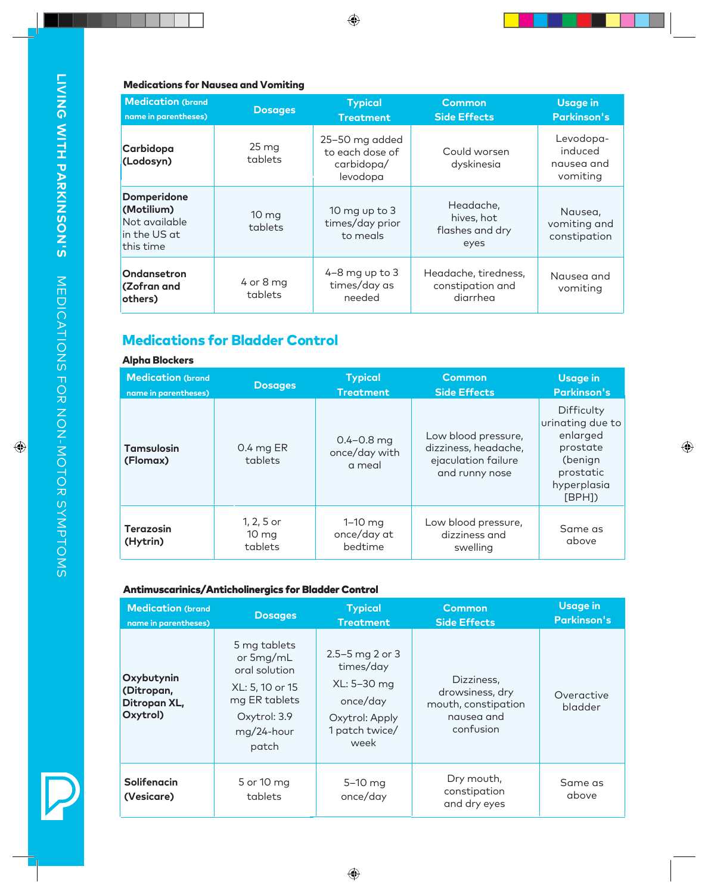#### Medications for Nausea and Vomiting

| <b>Medication (brand</b><br>name in parentheses)                               | <b>Dosages</b>                | <b>Typical</b><br><b>Treatment</b>                          | <b>Common</b><br><b>Side Effects</b>                 | <b>Usage in</b><br><b>Parkinson's</b>          |
|--------------------------------------------------------------------------------|-------------------------------|-------------------------------------------------------------|------------------------------------------------------|------------------------------------------------|
| Carbidopa<br>(Lodosyn)                                                         | $25 \,\mathrm{mg}$<br>tablets | 25-50 mg added<br>to each dose of<br>carbidopa/<br>levodopa | Could worsen<br>dyskinesia                           | Levodopa-<br>induced<br>nausea and<br>vomiting |
| <b>Domperidone</b><br>(Motilium)<br>Not available<br>in the US at<br>this time | 10 <sub>mg</sub><br>tablets   | 10 mg up to 3<br>times/day prior<br>to meals                | Headache,<br>hives, hot<br>flashes and dry<br>eyes   | Nausea,<br>vomiting and<br>constipation        |
| Ondansetron<br><b>(Zofran and</b><br>others)                                   | $4$ or 8 mg<br>tablets        | $4-8$ mg up to $3$<br>times/day as<br>needed                | Headache, tiredness,<br>constipation and<br>diarrhea | Nausea and<br>vomiting                         |

# Medications for Bladder Control

#### Alpha Blockers

| <b>Medication (brand</b><br>name in parentheses) | <b>Dosages</b>                           | <b>Typical</b><br><b>Treatment</b>        | <b>Common</b><br><b>Side Effects</b>                                                 | <b>Usage in</b><br><b>Parkinson's</b>                                                                   |
|--------------------------------------------------|------------------------------------------|-------------------------------------------|--------------------------------------------------------------------------------------|---------------------------------------------------------------------------------------------------------|
| <b>Tamsulosin</b><br>(Flomax)                    | 0.4 mg ER<br>tablets                     | $0.4 - 0.8$ mg<br>once/day with<br>a meal | Low blood pressure,<br>dizziness, headache,<br>ejaculation failure<br>and runny nose | Difficulty<br>urinating due to<br>enlarged<br>prostate<br>(benign<br>prostatic<br>hyperplasia<br>[BPH]) |
| <b>Terazosin</b><br>(Hytrin)                     | 1, 2, 5 or<br>$10 \text{ mg}$<br>tablets | $1-10$ mg<br>once/day at<br>bedtime       | Low blood pressure,<br>dizziness and<br>swelling                                     | Same as<br>above                                                                                        |

## Antimuscarinics/Anticholinergics for Bladder Control

| <b>Medication (brand</b><br>name in parentheses)     | <b>Dosages</b>                                                                                                        | <b>Typical</b><br><b>Treatment</b>                                                                      | <b>Common</b><br><b>Side Effects</b>                                            | <b>Usage in</b><br><b>Parkinson's</b> |
|------------------------------------------------------|-----------------------------------------------------------------------------------------------------------------------|---------------------------------------------------------------------------------------------------------|---------------------------------------------------------------------------------|---------------------------------------|
| Oxybutynin<br>(Ditropan,<br>Ditropan XL,<br>Oxytrol) | 5 mg tablets<br>or 5mg/mL<br>oral solution<br>XL: 5, 10 or 15<br>mg ER tablets<br>Oxytrol: 3.9<br>mg/24-hour<br>patch | $2.5 - 5$ mg 2 or 3<br>times/day<br>XL: 5-30 mg<br>once/day<br>Oxytrol: Apply<br>1 patch twice/<br>week | Dizziness,<br>drowsiness, dry<br>mouth, constipation<br>nausea and<br>confusion | Overactive<br>bladder                 |
| <b>Solifenacin</b><br>(Vesicare)                     | 5 or 10 mg<br>tablets                                                                                                 | 5-10 mg<br>once/day                                                                                     | Dry mouth,<br>constipation<br>and dry eyes                                      | Same as<br>above                      |